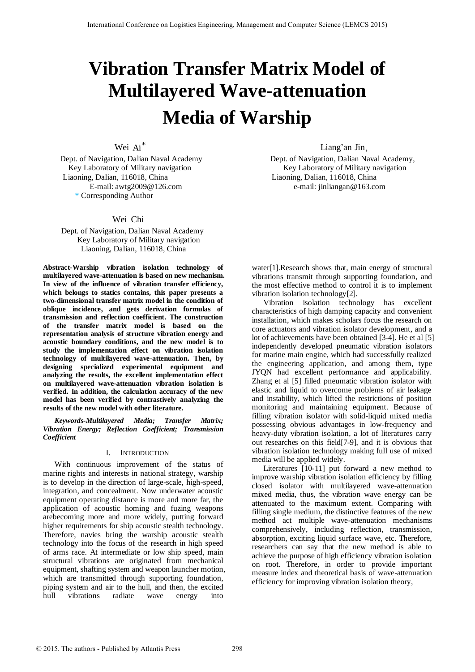# **Vibration Transfer Matrix Model of Multilayered Wave-attenuation Media of Warship**

Wei Ai\*

 Liaoning, Dalian, 116018, China Liaoning, Dalian, 116018, China \* Corresponding Author

## Wei Chi

Dept. of Navigation, Dalian Naval Academy Key Laboratory of Military navigation Liaoning, Dalian, 116018, China

**Abstract-Warship vibration isolation technology of multilayered wave-attenuation is based on new mechanism. In view of the influence of vibration transfer efficiency, which belongs to statics contains, this paper presents a two-dimensional transfer matrix model in the condition of oblique incidence, and gets derivation formulas of transmission and reflection coefficient. The construction of the transfer matrix model is based on the representation analysis of structure vibration energy and acoustic boundary conditions, and the new model is to study the implementation effect on vibration isolation technology of multilayered wave-attenuation. Then, by designing specialized experimental equipment and analyzing the results, the excellent implementation effect on multilayered wave-attenuation vibration isolation is verified. In addition, the calculation accuracy of the new model has been verified by contrastively analyzing the results of the new model with other literature.** 

*Keywords-Multilayered Media; Transfer Matrix; Vibration Energy; Reflection Coefficient; Transmission Coefficient* 

## I. INTRODUCTION

With continuous improvement of the status of marine rights and interests in national strategy, warship is to develop in the direction of large-scale, high-speed, integration, and concealment. Now underwater acoustic equipment operating distance is more and more far, the application of acoustic homing and fuzing weapons arebecoming more and more widely, putting forward higher requirements for ship acoustic stealth technology. Therefore, navies bring the warship acoustic stealth technology into the focus of the research in high speed of arms race. At intermediate or low ship speed, main structural vibrations are originated from mechanical equipment, shafting system and weapon launcher motion, which are transmitted through supporting foundation, piping system and air to the hull, and then, the excited hull vibrations radiate wave energy into

 $\Delta$  Liang'an Jin,

Dept. of Navigation, Dalian Naval Academy Dept. of Navigation, Dalian Naval Academy, Key Laboratory of Military navigation Key Laboratory of Military navigation E-mail: [awtg2009@126.com](mailto:awtg2009@126.com) e-mail: [jinliangan@163.com](mailto:jinliangan@163.com)

> water[1].Research shows that, main energy of structural vibrations transmit through supporting foundation, and the most effective method to control it is to implement vibration isolation technology[2].

Vibration isolation technology has excellent characteristics of high damping capacity and convenient installation, which makes scholars focus the research on core actuators and vibration isolator development, and a lot of achievements have been obtained [3-4]. He et al [5] independently developed pneumatic vibration isolators for marine main engine, which had successfully realized the engineering application, and among them, type JYQN had excellent performance and applicability. Zhang et al [5] filled pneumatic vibration isolator with elastic and liquid to overcome problems of air leakage and instability, which lifted the restrictions of position monitoring and maintaining equipment. Because of filling vibration isolator with solid-liquid mixed media possessing obvious advantages in low-frequency and heavy-duty vibration isolation, a lot of literatures carry out researches on this field[7-9], and it is obvious that vibration isolation technology making full use of mixed media will be applied widely.

Literatures [10-11] put forward a new method to improve warship vibration isolation efficiency by filling closed isolator with multilayered wave-attenuation mixed media, thus, the vibration wave energy can be attenuated to the maximum extent. Comparing with filling single medium, the distinctive features of the new method act multiple wave-attenuation mechanisms comprehensively, including reflection, transmission, absorption, exciting liquid surface wave, etc. Therefore, researchers can say that the new method is able to achieve the purpose of high efficiency vibration isolation on root. Therefore, in order to provide important measure index and theoretical basis of wave-attenuation efficiency for improving vibration isolation theory,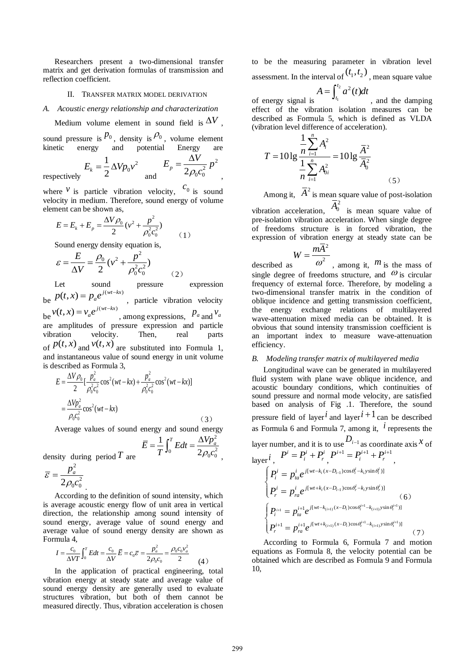Researchers present a two-dimensional transfer matrix and get derivation formulas of transmission and reflection coefficient.

#### II. TRANSFER MATRIX MODEL DERIVATION

*A. Acoustic energy relationship and characterization* 

Medium volume element in sound field is  $\Delta V$ .

sound pressure is  $p_0$ , density is  $p_0$ , volume element kinetic energy and potential Energy are

> 2  $\mathbf{0}$

and

2

,

 $p = 2\rho_0 c_0^2$  $E_p = \frac{\Delta V}{2} p$  $\rho_0 c$  $=\frac{\Delta}{\Delta}$ 

(1)

respectively

where <sup>*v*</sup> is particle vibration velocity,  $c_0$  is sound velocity in medium. Therefore, sound energy of volume element can be shown as,

$$
E = E_{k} + E_{p} = \frac{\Delta V \rho_{0}}{2} (v^{2} + \frac{p^{2}}{\rho_{0}^{2} c_{0}^{2}})
$$

Sound energy density equation is,

1  $E_k = \frac{1}{2} \Delta V p_0 v$ 

$$
\varepsilon = \frac{E}{\Delta V} = \frac{\rho_0}{2} (v^2 + \frac{p^2}{\rho_0^2 c_0^2})
$$
 (2)

Let sound pressure expression be  $p(t, x) = p_a e^{j(wt - kx)}$ , particle vibration velocity be  $v(t, x) = v_a e^{j(wt - kx)}$ , among expressions,  $p_a$  and  $v_a$ be a constructed and are amplitudes of pressure expression and particle vibration velocity. Then, real parts vibration velocity. Then, real parts of  $p(t, x)$  and  $v(t, x)$  are substituted into Formula 1, and instantaneous value of sound energy in unit volume is described as Formula 3,

$$
E = \frac{\Delta V \rho_0}{2} \left[ \frac{p_a^2}{\rho_0^2 c_0^2} \cos^2(wt - kx) + \frac{p_a^2}{\rho_0^2 c_0^2} \cos^2(wt - kx) \right]
$$
  
= 
$$
\frac{\Delta V p_a^2}{\rho_0 c_0^2} \cos^2(wt - kx)
$$
 (4)

Average values of sound energy and sound energy

$$
\overline{E} = \frac{1}{T} \int_0^T E dt = \frac{\Delta V p_a^2}{2\rho_0 c_0^2}
$$

(3)

,

density during period *T* are

$$
\overline{\varepsilon} = \frac{p_a^2}{2\rho_0 c_0^2}
$$

According to the definition of sound intensity, which is average acoustic energy flow of unit area in vertical direction, the relationship among sound intensity of sound energy, average value of sound energy and average value of sound energy density are shown as Formula 4,

$$
I = \frac{c_0}{\Delta VT} \int_0^T E dt = \frac{c_0}{\Delta V} \overline{E} = c_0 \overline{\varepsilon} = \frac{p_a^2}{2\rho_0 c_0} = \frac{\rho_0 c_0 v_a^2}{2} \tag{4}
$$

In the application of practical engineering, total vibration energy at steady state and average value of sound energy density are generally used to evaluate structures vibration, but both of them cannot be measured directly. Thus, vibration acceleration is chosen to be the measuring parameter in vibration level assessment. In the interval of  $(t_1, t_2)$ , mean square value

$$
A=\int_{t_1}^{t_2} a^2(t)dt
$$

of energy signal is , and the damping effect of the vibration isolation measures can be described as Formula 5, which is defined as VLDA (vibration level difference of acceleration).

$$
T = 10 \lg \frac{\frac{1}{n} \sum_{i=1}^{n} A_i^2}{\frac{1}{n} \sum_{i=1}^{n} A_{0i}^2} = 10 \lg \frac{\overline{A}^2}{\overline{A}_0^2}
$$
 (5)

Among it,  $\overline{A}^2$  is mean square value of post-isolation

vibration acceleration,  $\overline{A}_0^2$  is mean square value of pre-isolation vibration acceleration. When single degree of freedoms structure is in forced vibration, the expression of vibration energy at steady state can be

$$
W=\frac{m\overline{A}^2}{2}
$$

described as  $\omega^2$ , among it, *m* is the mass of single degree of freedoms structure, and  $\omega$  is circular frequency of external force. Therefore, by modeling a two-dimensional transfer matrix in the condition of oblique incidence and getting transmission coefficient, the energy exchange relations of multilayered wave-attenuation mixed media can be obtained. It is obvious that sound intensity transmission coefficient is an important index to measure wave-attenuation efficiency.

#### *B. Modeling transfer matrix of multilayered media*

Longitudinal wave can be generated in multilayered fluid system with plane wave oblique incidence, and acoustic boundary conditions, which continuities of sound pressure and normal mode velocity, are satisfied based on analysis of Fig .1. Therefore, the sound pressure field of layer<sup> $i$ </sup> and layer<sup> $i+1$ </sup> can be described as Formula 6 and Formula 7, among it, *i* represents the layer number, and it is to use  $D_{i-1}$  as coordinate axis  $x$  of  $\log_{10} i$ ,  $P^{i} = P_{i}^{i} + P_{r}^{i}$ ,  $P^{i+1} = P_{i}^{i+1} + P_{r}^{i+1}$ , 1 1  $\left[ wt-k_i (x-D_{i-1})\cos \theta_i^i - k_i y \sin \theta_i^i \right]$  $\left[ wt + k_i (x - D_{i-1}) \cos \theta_r^i - k_i y \sin \theta_r^i \right]$  $\ddot{\sigma}_i (x-D_{i-1}) \cos \theta_i^i - k_i y \sin \theta_i^i$  $\ddot{\sigma}_i (x-D_{i-1}) \cos \theta_r^i - k_i y \sin \theta_i$  $i = i \int_{0}^{i} u t - k_i (x - D_{i-1}) \cos \theta_i^i - k_i y$  $i - P_{ta}$  $\vec{u}$   $\vec{v}$   $\vec{v}$   $\vec{v}$   $\left[\sqrt{wt+k_i(x-D_{i-1})\cos\theta_r^i-k_i}\right]$  $r = P_{ra}$  $P_i^i = p_{i\alpha}^i e$  $P_r^i = p_{r\sigma}^i e$  $\theta_i^i$  –  $k_i$  y sin  $\theta_i^i$  $\theta_r^i$  –  $k_i$  y sin  $\theta_r^i$ i-H  $-k_i(x-D_{i-1})\cos\theta_i^i-k$ + $k_i(x-D_{i-1})\cos\theta_r^i - k$  $\left\vert P_{i}^{i}\right\vert =% {\displaystyle\sum\limits_{i}} \left\vert P_{i}^{i}\right\vert ^{2}$ ₹  $\left(P_r^i = p_{ra}^i e^{j[wt+k_i(x-D_{i-1})\cos\theta_r^i - k_i y \sin\theta_r^i)}\right]$  (6)  $n_1 - n^{i+1} \rho^{j[wt-k_{(i+1)}(x-D_i)\cos\theta_t^{i+1} - k_{(i+1)}y\sin\theta_t^{i+1}]}$  $\sum_{(i+1)} (x-D_i) \cos \theta_i^{i+1} - k_{(i+1)} y \sin \theta_i^{i+1}$  $-1$   $I_{cl}$   $j[wt-k_{(i+1)}(x-D_i)\cos\theta_t^{i+1}-k_{(i+1)}y\sin\theta_t^{i+1})]$  $1 - i$   $\frac{1}{2}$   $\frac{1}{2}$   $\frac{1}{2} \left[ wt + k_{(i+1)} (x - D_i) \cos \theta_t^{i+1} - k_{(i+1)} y \sin \theta_t^{i+1} \right]$  $i_{t+1}$  **p**  $i_{t+1}$   $i_{t}$   $j$   $[v(t-k_{(i+1)}(x-D_i)\cos\theta_t^{i+1}-k_{(i+1)}y\sin\theta_t^{i+1}$  $_{i+1}$   $(x-D_i)\cos\theta_i^{i+1} - k_{(i+1)}y\sin\theta_i^i$  $i+1$   $j$   $[wt-k_{(i+1)}(x-D_i)\cos\theta_i^{i+1}-k_{(i+1)}y]$  $i = P_{ta}$  $p_i^{i+1} = p_{ra}^{i+1} e^{j[wt+k_{(i+1)}(x-D_i)\cos\theta_i^{i+1}-k_{(i+1)}y}$  $P_i^{i+1} = p_{ia}^{i+1}e$  $P_r^{i+1} = p_{ra}^{i+1}e$  $\theta_t^{i+1} - k_{(i+1)} y \sin \theta_t^i$  $\theta_t^{i+1} - k_{(i+1)} y \sin \theta_t^i$  $\vec{v}_{t+1} = \vec{v}_{t+1} e^{j \left[ wt - k_{(i+1)}(x - D_i) \cos \theta_t^{i+1} - k_{(i+1)} y \sin \theta_t^{i+1} \right]}$  $a_{i+1}(x-D_i)\cos\theta_i^{i+1} - k_{(i+1)}y\sin\theta_i^{i+1}$ +1  $\frac{1}{2}$   $\int [wt-k_{(i+1)}(x-D_i)\cos\theta_i^{i+1}-k]$ +1  $\sum_{i=1}^{\infty} i+1 \frac{j[wt+k_{(i+1)}(x-D_i)\cos\theta_i^{i+1}-k]}{t!}$  $\left\{P_i^{i+1}\right. =$  $\left\{ \right.$  $\left(P_r^{i+1} = P_{ra}^{i+1} e^{j \left\{W_t + k_{(i+1)}(x - D_i)\cos\theta_t^{i} - k_{(i+1)}y\sin\theta_t^{i}\right\}}\right]$  (7)

According to Formula 6, Formula 7 and motion equations as Formula 8, the velocity potential can be obtained which are described as Formula 9 and Formula 10,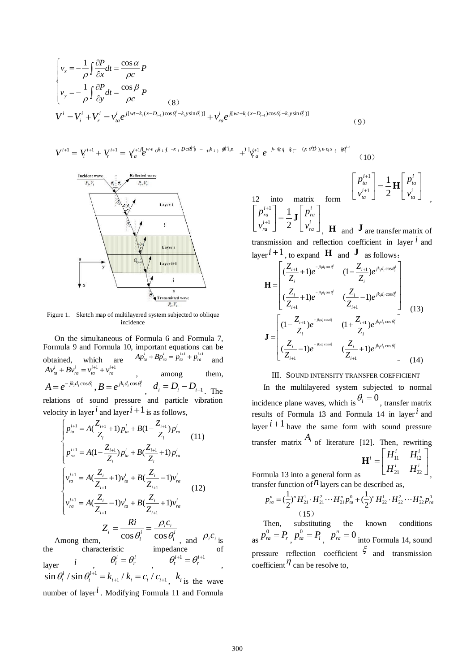$$
\begin{cases}\nv_x = -\frac{1}{\rho} \int \frac{\partial P}{\partial x} dt = \frac{\cos \alpha}{\rho c} P \\
v_y = -\frac{1}{\rho} \int \frac{\partial P}{\partial y} dt = \frac{\cos \beta}{\rho c} P \\
V^i = V^i_i + V^i_r = v^i_{ia} e^{j[wt - k_i(x - D_{i-1})\cos\theta^i_i - k_i y \sin\theta^i_i]} + v^i_{ra} e^{j[wt + k_i(x - D_{i-1})\cos\theta^i_r - k_i y \sin\theta^i_r]} \n\end{cases}
$$

 $V^{i+1} = V_i^{i+1} + V_r^{i+1} = \gamma_a^{i+1j} e^{w + a_i k_1 \int \pi x_i} \frac{p c \theta_i^k - \epsilon_i k_1}{\theta_i^k} + \frac{p}{\theta_i^j} \frac{p_i^j}{\theta_i^j} + \frac{p_i^j}{\theta_i^j} e^{-\frac{j}{\theta_i^j} \theta_i^k} + \frac{p_i^j}{\theta_i^j} e^{-\frac{j}{\theta_i^j} \theta_i^k}$  (10)



Figure 1. Sketch map of multilayered system subjected to oblique incidence

On the simultaneous of Formula 6 and Formula 7, Formula 9 and Formula 10, important equations can be obtained, which are  $Ap_{na}^i + Bp_{na}^i = p_{na}^{i+1} + p_{na}^{i+1}$  and  $Av_{ta}^i + Bv_{ra}^i = v_{ta}^{i+1} + v_{ra}^{i+1}$  among them,  $A = e^{-jk_i d_i \cos \theta_i^i}$ ,  $B = e^{jk_i d_i \cos \theta_i^i}$ ,  $d_i = D_i - D_{i-1}$ . The relations of sound pressure and particle vibration velocity in layer<sup>*i*</sup> and layer</sub><sup>*i* + 1</sup> is as follows,

$$
\begin{cases}\np_{ia}^{i+1} = A(\frac{Z_{i+1}}{Z_i} + 1) p_{ia}^i + B(1 - \frac{Z_{i+1}}{Z_i}) p_{ra}^i \\
p_{ra}^{i+1} = A(1 - \frac{Z_{i+1}}{Z_i}) p_{ia}^i + B(\frac{Z_{i+1}}{Z_i} + 1) p_{ra}^i \\
\downarrow \nu_{ia}^{i+1} = A(\frac{Z_i}{Z_{i+1}} + 1) v_{ia}^i + B(\frac{Z_i}{Z_{i+1}} - 1) v_{ra}^i \\
\downarrow \nu_{ra}^{i+1} = A(\frac{Z_i}{Z_{i+1}} - 1) v_{ia}^i + B(\frac{Z_i}{Z_{i+1}} + 1) v_{ra}^i \\
Z_i = \frac{Ri}{\cos \theta_i^i} = \frac{\rho_i c_i}{\cos \theta_i^i}, \text{ and } \rho_i c_i\n\end{cases}
$$
\n\nAmong them,

 $\theta_i^i$  cos  $\theta_i^i$ , and  $\rho_i c_i$  is the characteristic impedance of layer *i*  $\theta_i^i = \theta_r^i$ ,  $\theta_t^{i+1} = \theta_r^{i+1}$ ,  $\sin \theta_i^i / \sin \theta_i^{i+1} = k_{i+1} / k_i = c_i / c_{i+1}$ ,  $k_i$  is the wave number of layer*i* . Modifying Formula 11 and Formula 12 into matrix form 1 1 1 2  $i+1$  1  $\left[ n \right]$ *ta*  $\left| \begin{array}{c} \mathbf{I} & \mathbf{II} \end{array} \right|$   $P_{ta}$  $i+1$   $\gamma$ <sup>-1</sup>  $\beta$  $\begin{array}{ccc} t & \Delta & \Delta \\ t & \Delta & \Delta \end{array}$  $p_{ta}^{i+1}$  | 1  $\blacksquare$  | p  $v_{ta}^{i+1}$  | 2 | *v*  $^{+}$  $^{+}$  $\left| p_{ia}^{i+1} \right|$   $1$ ,  $\left| p_{ia}^{i} \right|$  $\left| \begin{array}{c} P_{ta} \\ i+1 \end{array} \right| = \frac{1}{2} \mathbf{H} \left| \begin{array}{c} P_{ta} \\ i \end{array} \right|$  $\left[\begin{array}{cc} v_{ta}^{i+1} \end{array}\right]$  2  $\left[\begin{array}{cc} v_{ta}^{i} \end{array}\right]$ **H** , 1 1 1 2  $i+1$  1  $n$ *ra ra*  $i+1$   $\gamma$   $\gamma$ *ra ra*  $p_{ra}^{i+1}$  | 1, p  $v_m^{i+1}$  | 2 | *v*  $^{+}$  $^{+}$  $\left| p_{ra}^{i+1} \right|$   $1$ ,  $p_{ra}^{i}$  $\left| \begin{array}{c} P_{ra} \\ i+1 \end{array} \right| = \frac{1}{2}$ **J**  $\left| \begin{array}{c} P_{ra} \\ i \end{array} \right|$  $\left[\begin{array}{cc} v_{ra}^{i+1} \end{array}\right]$   $2 \left[\begin{array}{cc} v_{ra}^{i} \end{array}\right]$ **J** , **H** and **J** are transfer matrix of transmission and reflection coefficient in layer *i* and

(9)

$$
\mathbf{H} = \begin{bmatrix} \frac{Z_{i+1}}{Z_i} + 1 \, e^{-\frac{i}{\hbar}d_i \cos \theta_i^i} & \frac{Z_{i-1}}{Z_i} \end{bmatrix} \mathbf{H} = \begin{bmatrix} \frac{Z_{i+1}}{Z_i} + 1 \, e^{-\frac{i}{\hbar}d_i \cos \theta_i^i} & \frac{Z_{i-1}}{Z_i} \end{bmatrix} \begin{bmatrix} \frac{Z_{i+1}}{Z_i} + 1 \, e^{-\frac{i}{\hbar}d_i \cos \theta_i^i} & \frac{Z_i}{Z_{i+1}} \end{bmatrix} \begin{bmatrix} \frac{Z_i}{Z_{i+1}} - 1 \, e^{\frac{i}{\hbar}d_i \cos \theta_i^i} \\ \frac{Z_{i-1}}{Z_i} \end{bmatrix} \begin{bmatrix} \frac{Z_i}{Z_i} - 1 \, e^{\frac{-i}{\hbar}d_i \cos \theta_i^i} \\ \frac{Z_i}{Z_{i+1}} - 1 \, e^{\frac{-i}{\hbar}d_i \cos \theta_i^i} & \frac{Z_i}{Z_{i+1}} + 1 \, e^{\frac{i}{\hbar}d_i \cos \theta_i^i} \end{bmatrix} \tag{13}
$$

## III. SOUND INTENSITY TRANSFER COEFFICIENT

In the multilayered system subjected to normal incidence plane waves, which is  $\theta_i = 0$ , transfer matrix results of Formula 13 and Formula 14 in layer*i* and layer  $i+1$  have the same form with sound pressure transfer matrix  $A_i$  of literature [12]. Then, rewriting

$$
\mathbf{H}^i = \begin{bmatrix} H_{11}^i & H_{12}^i \\ H_{21}^i & H_{22}^i \end{bmatrix},
$$

transfer function of  $n$  layers can be described as,

Formula 13 into a general form as

$$
p_n^n = \left(\frac{1}{2}\right)^n H_{21}^1 \cdot H_{21}^2 \cdots H_{21}^n p_n^0 + \left(\frac{1}{2}\right)^n H_{22}^1 \cdot H_{22}^2 \cdots H_{22}^n p_n^0
$$
\n(15)

Then, substituting the known conditions as  $p_{ra}^0 = P_{r}$  $p_{ia}^0 = P_i$ ,  $p_{ra}^n = 0$  into Formula 14, sound pressure reflection coefficient  $\xi$  and transmission coefficient  $\eta$  can be resolve to,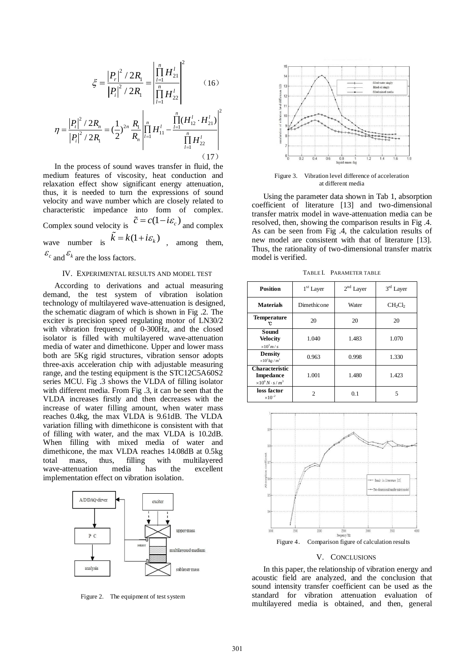$$
\xi = \frac{|P_r|^2 / 2R_1}{|P_i|^2 / 2R_1} = \frac{\left| \prod_{l=1}^n H_{21}^l \right|^2}{\left| \prod_{l=1}^n H_{22}^l \right|} \qquad (16)
$$
  

$$
|P_i|^2 / 2R_1 = \frac{1}{\prod_{l=1}^n H_{22}^l} \left| \prod_{l=1}^n (H_{12}^l \cdot H_{21}^l) \right|^2
$$

$$
\eta = \frac{|P_t|^2 / 2R_n}{|P_t|^2 / 2R_1} = (\frac{1}{2})^{2n} \frac{R_1}{R_n} \left| \prod_{l=1}^n H_{11}^l - \frac{\prod_{l=1}^n (H_{12}^l \cdot H_{21}^l)}{\prod_{l=1}^n H_{22}^l} \right|
$$
\n(17)

In the process of sound waves transfer in fluid, the medium features of viscosity, heat conduction and relaxation effect show significant energy attenuation, thus, it is needed to turn the expressions of sound velocity and wave number which are closely related to characteristic impedance into form of complex. Complex sound velocity is  $\tilde{c} = c(1 - i\varepsilon_c)$  and complex wave number is  $\vec{k} = k(1 + i\varepsilon_k)$ , among them,  $\mathcal{E}_c$  and  $\mathcal{E}_k$  are the loss factors.

# IV. EXPERIMENTAL RESULTS AND MODEL TEST

According to derivations and actual measuring demand, the test system of vibration isolation technology of multilayered wave-attenuation is designed, the schematic diagram of which is shown in Fig .2. The exciter is precision speed regulating motor of LN30/2 with vibration frequency of 0-300Hz, and the closed isolator is filled with multilayered wave-attenuation media of water and dimethicone. Upper and lower mass both are 5Kg rigid structures, vibration sensor adopts [three-axis](http://dict.cnki.net/dict_result.aspx?searchword=%e4%b8%89%e8%bd%b4&tjType=sentence&style=&t=three-axis) acceleration chip with adjustable measuring range, and the testing equipment is the STC12C5A60S2 series MCU. Fig .3 shows the VLDA of filling isolator with different media. From Fig .3, it can be seen that the VLDA increases firstly and then decreases with the increase of water filling amount, when water mass reaches 0.4kg, the max VLDA is 9.61dB. The VLDA variation filling with dimethicone is consistent with that of filling with water, and the max VLDA is 10.2dB. When filling with mixed media of water and dimethicone, the max VLDA reaches 14.08dB at 0.5kg<br>total mass. thus, filling with multilayered total mass, thus, filling with multilayered wave-attenuation media has the excellent implementation effect on vibration isolation.



Figure 2. The equipment of test system



Figure 3. Vibration level difference of acceleration at different media

Using the parameter data shown in Tab 1, absorption coefficient of literature [13] and two-dimensional transfer matrix model in wave-attenuation media can be resolved, then, showing the comparison results in Fig .4. As can be seen from Fig .4, the calculation results of new model are consistent with that of literature [13]. Thus, the rationality of two-dimensional transfer matrix model is verified.

TABLE I. PARAMETER TABLE

| <b>Position</b>                                                          | 1 <sup>st</sup> Layer | $2^{\rm nd}$ Layer | $3rd$ Layer        |
|--------------------------------------------------------------------------|-----------------------|--------------------|--------------------|
| <b>Materials</b>                                                         | Dimethicone           | Water              | CH <sub>2</sub> Ch |
| <b>Temperature</b>                                                       | 20                    | 20                 | 20                 |
| Sound<br><b>Velocity</b><br>$\times 10^3 m/s$                            | 1.040                 | 1.483              | 1.070              |
| <b>Density</b><br>$\times 10^3 kg/m^3$                                   | 0.963                 | 0.998              | 1.330              |
| <b>Characteristic</b><br><b>Impedance</b><br>$\times 10^6 N \cdot s/m^3$ | 1.001                 | 1.480              | 1.423              |
| loss factor<br>$\times 10^{-2}$                                          | $\mathfrak{D}$        | 0.1                | 5                  |



#### V. CONCLUSIONS

In this paper, the relationship of vibration energy and acoustic field are analyzed, and the conclusion that sound intensity transfer coefficient can be used as the standard for vibration attenuation evaluation of multilayered media is obtained, and then, general